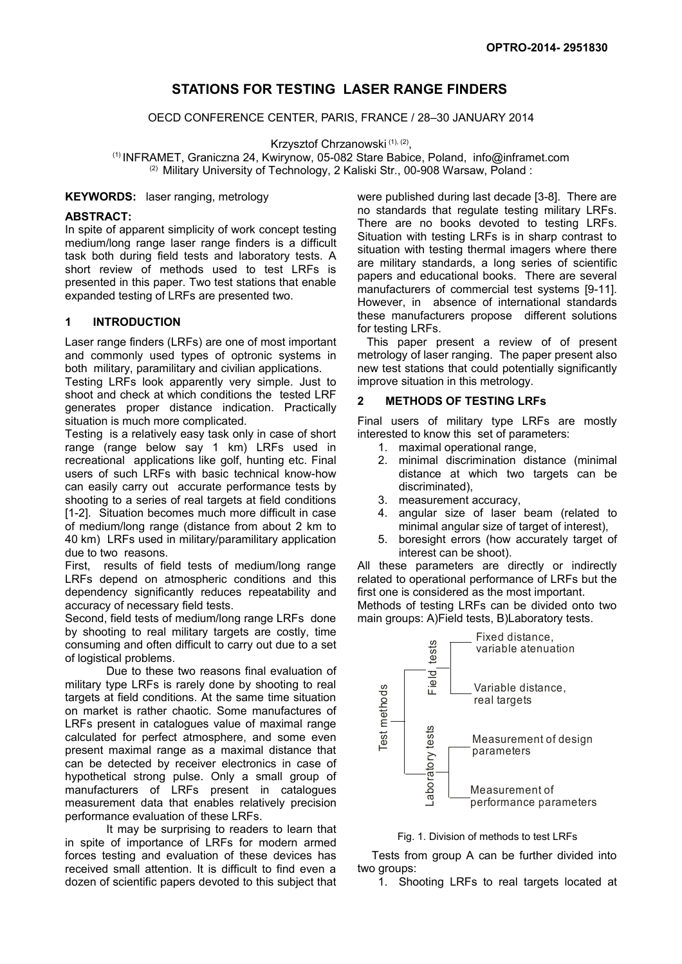# **STATIONS FOR TESTING LASER RANGE FINDERS**

OECD CONFERENCE CENTER, PARIS, FRANCE / 28–30 JANUARY 2014

Krzysztof Chrzanowski (1), (2),

(1) INFRAMET, Graniczna 24, Kwirynow, 05-082 Stare Babice, Poland, info@inframet.com <sup>(2)</sup> Military University of Technology, 2 Kaliski Str., 00-908 Warsaw, Poland :

### **KEYWORDS:** laser ranging, metrology

#### **ABSTRACT:**

In spite of apparent simplicity of work concept testing medium/long range laser range finders is a difficult task both during field tests and laboratory tests. A short review of methods used to test LRFs is presented in this paper. Two test stations that enable expanded testing of LRFs are presented two.

## **1 INTRODUCTION**

Laser range finders (LRFs) are one of most important and commonly used types of optronic systems in both military, paramilitary and civilian applications.

Testing LRFs look apparently very simple. Just to shoot and check at which conditions the tested LRF generates proper distance indication. Practically situation is much more complicated.

Testing is a relatively easy task only in case of short range (range below say 1 km) LRFs used in recreational applications like golf, hunting etc. Final users of such LRFs with basic technical know-how can easily carry out accurate performance tests by shooting to a series of real targets at field conditions [\[1-](#page-5-0)[2\]](#page-5-1). Situation becomes much more difficult in case of medium/long range (distance from about 2 km to 40 km) LRFs used in military/paramilitary application due to two reasons.

First, results of field tests of medium/long range LRFs depend on atmospheric conditions and this dependency significantly reduces repeatability and accuracy of necessary field tests.

Second, field tests of medium/long range LRFs done by shooting to real military targets are costly, time consuming and often difficult to carry out due to a set of logistical problems.

Due to these two reasons final evaluation of military type LRFs is rarely done by shooting to real targets at field conditions. At the same time situation on market is rather chaotic. Some manufactures of LRFs present in catalogues value of maximal range calculated for perfect atmosphere, and some even present maximal range as a maximal distance that can be detected by receiver electronics in case of hypothetical strong pulse. Only a small group of manufacturers of LRFs present in catalogues measurement data that enables relatively precision performance evaluation of these LRFs.

It may be surprising to readers to learn that in spite of importance of LRFs for modern armed forces testing and evaluation of these devices has received small attention. It is difficult to find even a dozen of scientific papers devoted to this subject that were published during last decade [3-8]. There are no standards that regulate testing military LRFs. There are no books devoted to testing LRFs. Situation with testing LRFs is in sharp contrast to situation with testing thermal imagers where there are military standards, a long series of scientific papers and educational books. There are several manufacturers of commercial test systems [9-11]. However, in absence of international standards these manufacturers propose different solutions for testing LRFs.

 This paper present a review of of present metrology of laser ranging. The paper present also new test stations that could potentially significantly improve situation in this metrology.

### **2 METHODS OF TESTING LRFs**

Final users of military type LRFs are mostly interested to know this set of parameters:

- 1. maximal operational range,
- 2. minimal discrimination distance (minimal distance at which two targets can be discriminated),
- 3. measurement accuracy,
- 4. angular size of laser beam (related to minimal angular size of target of interest),
- 5. boresight errors (how accurately target of interest can be shoot).

All these parameters are directly or indirectly related to operational performance of LRFs but the first one is considered as the most important. Methods of testing LRFs can be divided onto two

main groups: A)Field tests, B)Laboratory tests.



Fig. 1. Division of methods to test LRFs

 Tests from group A can be further divided into two groups:

1. Shooting LRFs to real targets located at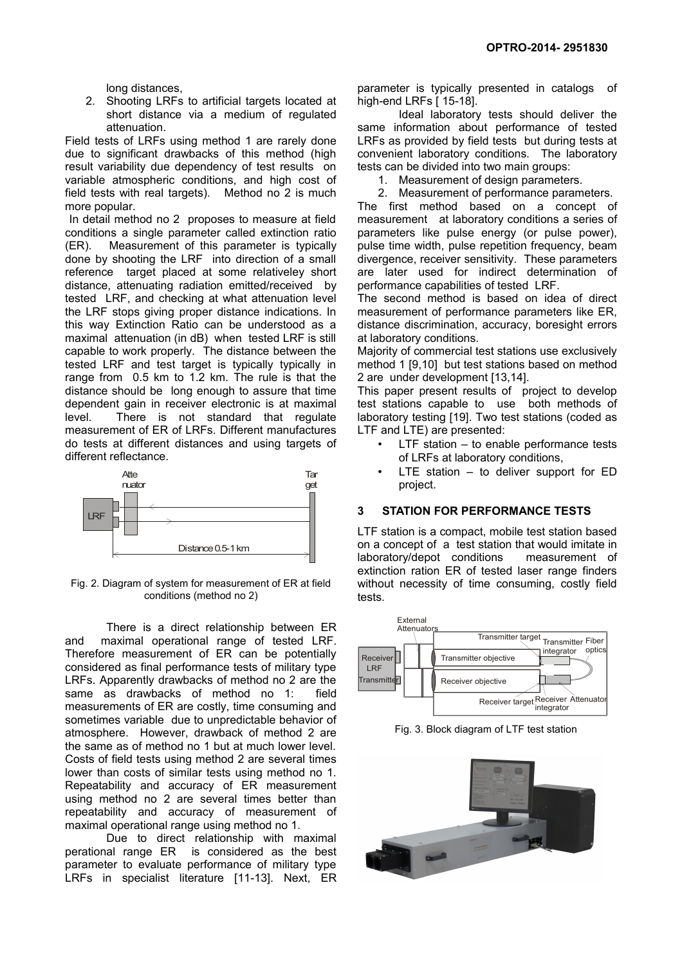long distances,

2. Shooting LRFs to artificial targets located at short distance via a medium of regulated attenuation.

Field tests of LRFs using method 1 are rarely done due to significant drawbacks of this method (high result variability due dependency of test results on variable atmospheric conditions, and high cost of field tests with real targets). Method no 2 is much more popular.

 In detail method no 2 proposes to measure at field conditions a single parameter called extinction ratio (ER). Measurement of this parameter is typically done by shooting the LRF into direction of a small reference target placed at some relativeley short distance, attenuating radiation emitted/received by tested LRF, and checking at what attenuation level the LRF stops giving proper distance indications. In this way Extinction Ratio can be understood as a maximal attenuation (in dB) when tested LRF is still capable to work properly. The distance between the tested LRF and test target is typically typically in range from 0.5 km to 1.2 km. The rule is that the distance should be long enough to assure that time dependent gain in receiver electronic is at maximal level. There is not standard that regulate measurement of ER of LRFs. Different manufactures do tests at different distances and using targets of different reflectance.



Fig. 2. Diagram of system for measurement of ER at field conditions (method no 2)

There is a direct relationship between ER and maximal operational range of tested LRF. Therefore measurement of ER can be potentially considered as final performance tests of military type LRFs. Apparently drawbacks of method no 2 are the same as drawbacks of method no 1: field measurements of ER are costly, time consuming and sometimes variable due to unpredictable behavior of atmosphere. However, drawback of method 2 are the same as of method no 1 but at much lower level. Costs of field tests using method 2 are several times lower than costs of similar tests using method no 1. Repeatability and accuracy of ER measurement using method no 2 are several times better than repeatability and accuracy of measurement of maximal operational range using method no 1.

Due to direct relationship with maximal perational range ER is considered as the best parameter to evaluate performance of military type LRFs in specialist literature [\[11](#page-5-9)[-13\]](#page-5-4). Next, ER

parameter is typically presented in catalogs of high-end LRFs [ [15](#page-5-8)[-18\]](#page-5-7).

Ideal laboratory tests should deliver the same information about performance of tested LRFs as provided by field tests but during tests at convenient laboratory conditions. The laboratory tests can be divided into two main groups:

1. Measurement of design parameters.

2. Measurement of performance parameters. The first method based on a concept of measurement at laboratory conditions a series of parameters like pulse energy (or pulse power), pulse time width, pulse repetition frequency, beam divergence, receiver sensitivity. These parameters are later used for indirect determination of performance capabilities of tested LRF.

The second method is based on idea of direct measurement of performance parameters like ER, distance discrimination, accuracy, boresight errors at laboratory conditions.

Majority of commercial test stations use exclusively method 1 [\[9,](#page-5-6)[10\]](#page-5-5) but test stations based on method 2 are under development [\[13](#page-5-4)[,14\]](#page-5-3).

This paper present results of project to develop test stations capable to use both methods of laboratory testing [\[19\]](#page-5-2). Two test stations (coded as LTF and LTE) are presented:

- LTF station  $-$  to enable performance tests of LRFs at laboratory conditions,
- LTE station  $-$  to deliver support for ED project.

## **3 STATION FOR PERFORMANCE TESTS**

LTF station is a compact, mobile test station based on a concept of a test station that would imitate in laboratory/depot conditions measurement of extinction ration ER of tested laser range finders without necessity of time consuming, costly field tests.



Fig. 3. Block diagram of LTF test station

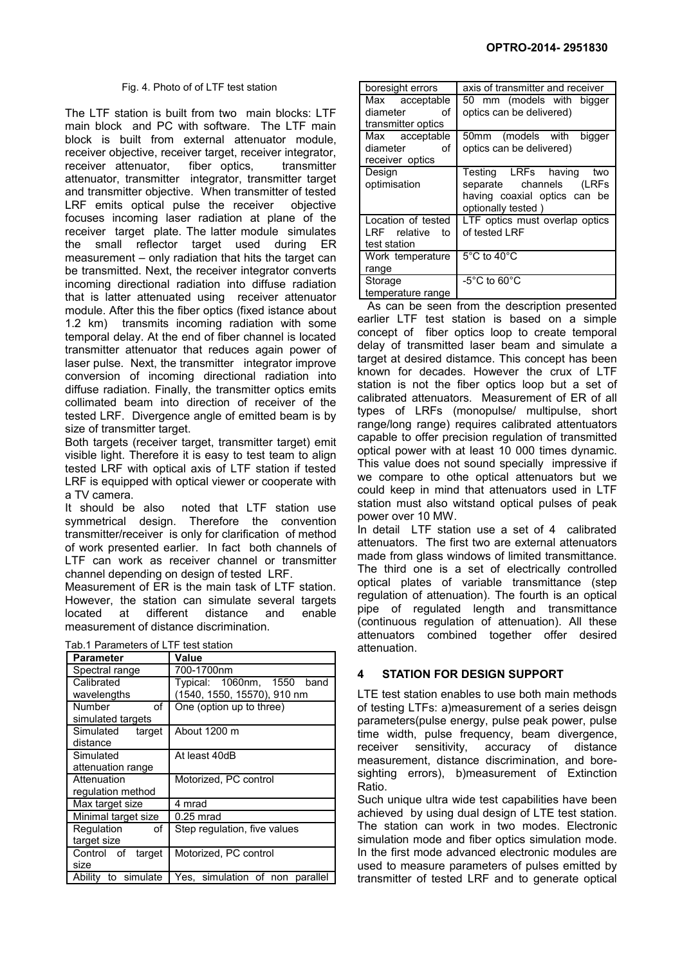#### Fig. 4. Photo of of LTF test station

The LTF station is built from two main blocks: LTF main block and PC with software. The LTF main block is built from external attenuator module, receiver objective, receiver target, receiver integrator, receiver attenuator, fiber optics, transmitter attenuator, transmitter integrator, transmitter target and transmitter objective. When transmitter of tested LRF emits optical pulse the receiver objective focuses incoming laser radiation at plane of the receiver target plate. The latter module simulates the small reflector target used during ER measurement – only radiation that hits the target can be transmitted. Next, the receiver integrator converts incoming directional radiation into diffuse radiation that is latter attenuated using receiver attenuator module. After this the fiber optics (fixed istance about 1.2 km) transmits incoming radiation with some temporal delay. At the end of fiber channel is located transmitter attenuator that reduces again power of laser pulse. Next, the transmitter integrator improve conversion of incoming directional radiation into diffuse radiation. Finally, the transmitter optics emits collimated beam into direction of receiver of the tested LRF. Divergence angle of emitted beam is by size of transmitter target.

Both targets (receiver target, transmitter target) emit visible light. Therefore it is easy to test team to align tested LRF with optical axis of LTF station if tested LRF is equipped with optical viewer or cooperate with a TV camera.

It should be also noted that LTF station use symmetrical design. Therefore the convention transmitter/receiver is only for clarification of method of work presented earlier. In fact both channels of LTF can work as receiver channel or transmitter channel depending on design of tested LRF.

Measurement of ER is the main task of LTF station. However, the station can simulate several targets located at different distance and enable measurement of distance discrimination.

| Tab.1 Parameters of LTF test station |                                 |  |
|--------------------------------------|---------------------------------|--|
| <b>Parameter</b>                     | Value                           |  |
| Spectral range                       | 700-1700nm                      |  |
| Calibrated                           | Typical: 1060nm, 1550 band      |  |
| wavelengths                          | (1540, 1550, 15570), 910 nm     |  |
| of<br>Number                         | One (option up to three)        |  |
| simulated targets                    |                                 |  |
| Simulated<br>target                  | About 1200 m                    |  |
| distance                             |                                 |  |
| Simulated                            | At least 40dB                   |  |
| attenuation range                    |                                 |  |
| Attenuation                          | Motorized, PC control           |  |
| regulation method                    |                                 |  |
| Max target size                      | 4 mrad                          |  |
| Minimal target size                  | 0.25 mrad                       |  |
| Regulation<br>οf                     | Step regulation, five values    |  |
| target size                          |                                 |  |
| Control of target                    | Motorized, PC control           |  |
| size                                 |                                 |  |
| Ability to simulate                  | Yes, simulation of non parallel |  |

| boresight errors   | axis of transmitter and receiver  |
|--------------------|-----------------------------------|
| Max acceptable     | 50 mm (models with bigger         |
| diameter of        | optics can be delivered)          |
| transmitter optics |                                   |
| Max acceptable     | 50mm (models with<br>bigger       |
| diameter<br>οf     | optics can be delivered)          |
| receiver optics    |                                   |
| Design             | Testing LRFs having two           |
| optimisation       | separate channels<br>(LRFs        |
|                    | having coaxial optics can be      |
|                    | optionally tested)                |
| Location of tested | LTF optics must overlap optics    |
| LRF relative to    | of tested LRF                     |
| test station       |                                   |
| Work temperature   | $5^{\circ}$ C to 40 $^{\circ}$ C  |
| range              |                                   |
| Storage            | $-5^{\circ}$ C to 60 $^{\circ}$ C |
| temperature range  |                                   |

 As can be seen from the description presented earlier LTF test station is based on a simple concept of fiber optics loop to create temporal delay of transmitted laser beam and simulate a target at desired distamce. This concept has been known for decades. However the crux of LTF station is not the fiber optics loop but a set of calibrated attenuators. Measurement of ER of all types of LRFs (monopulse/ multipulse, short range/long range) requires calibrated attentuators capable to offer precision regulation of transmitted optical power with at least 10 000 times dynamic. This value does not sound specially impressive if we compare to othe optical attenuators but we could keep in mind that attenuators used in LTF station must also witstand optical pulses of peak power over 10 MW.

In detail LTF station use a set of 4 calibrated attenuators. The first two are external attenuators made from glass windows of limited transmittance. The third one is a set of electrically controlled optical plates of variable transmittance (step regulation of attenuation). The fourth is an optical pipe of regulated length and transmittance (continuous regulation of attenuation). All these attenuators combined together offer desired attenuation.

## **4 STATION FOR DESIGN SUPPORT**

LTE test station enables to use both main methods of testing LTFs: a)measurement of a series deisgn parameters(pulse energy, pulse peak power, pulse time width, pulse frequency, beam divergence, receiver sensitivity, accuracy of distance measurement, distance discrimination, and boresighting errors), b)measurement of Extinction Ratio.

Such unique ultra wide test capabilities have been achieved by using dual design of LTE test station. The station can work in two modes. Electronic simulation mode and fiber optics simulation mode. In the first mode advanced electronic modules are used to measure parameters of pulses emitted by transmitter of tested LRF and to generate optical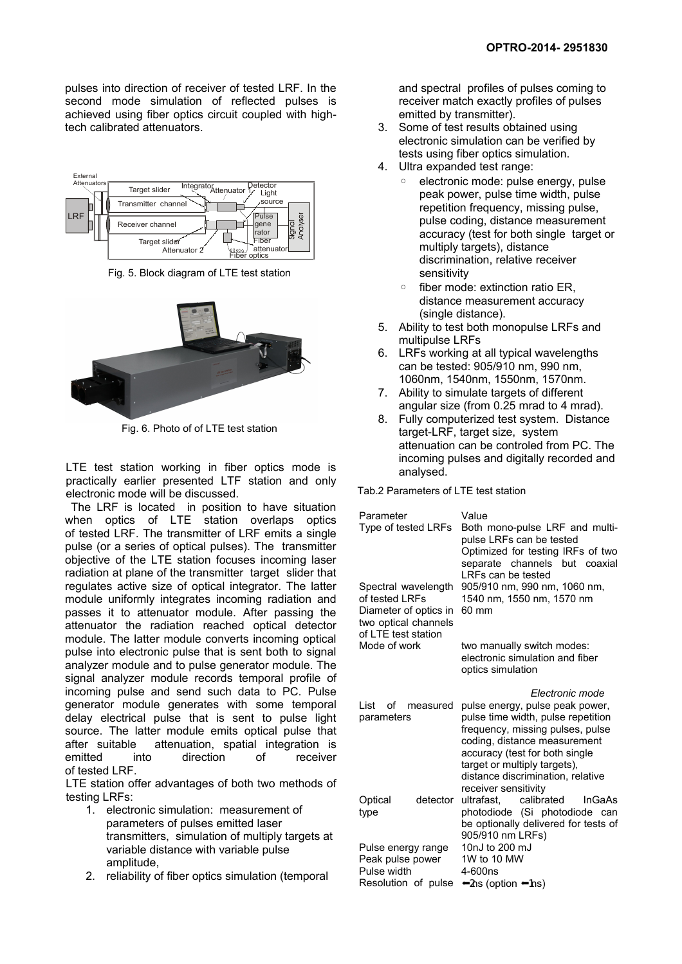pulses into direction of receiver of tested LRF. In the second mode simulation of reflected pulses is achieved using fiber optics circuit coupled with hightech calibrated attenuators.



Fig. 5. Block diagram of LTE test station



Fig. 6. Photo of of LTE test station

LTE test station working in fiber optics mode is practically earlier presented LTF station and only electronic mode will be discussed.

 The LRF is located in position to have situation when optics of LTE station overlaps optics of tested LRF. The transmitter of LRF emits a single pulse (or a series of optical pulses). The transmitter objective of the LTE station focuses incoming laser radiation at plane of the transmitter target slider that regulates active size of optical integrator. The latter module uniformly integrates incoming radiation and passes it to attenuator module. After passing the attenuator the radiation reached optical detector module. The latter module converts incoming optical pulse into electronic pulse that is sent both to signal analyzer module and to pulse generator module. The signal analyzer module records temporal profile of incoming pulse and send such data to PC. Pulse generator module generates with some temporal delay electrical pulse that is sent to pulse light source. The latter module emits optical pulse that after suitable attenuation, spatial integration is emitted into direction of receiver of tested LRF.

LTE station offer advantages of both two methods of testing LRFs:

- 1. electronic simulation: measurement of parameters of pulses emitted laser transmitters, simulation of multiply targets at variable distance with variable pulse amplitude,
- 2. reliability of fiber optics simulation (temporal

and spectral profiles of pulses coming to receiver match exactly profiles of pulses emitted by transmitter).

- 3. Some of test results obtained using electronic simulation can be verified by tests using fiber optics simulation.
- 4. Ultra expanded test range:
	- electronic mode: pulse energy, pulse peak power, pulse time width, pulse repetition frequency, missing pulse, pulse coding, distance measurement accuracy (test for both single target or multiply targets), distance discrimination, relative receiver sensitivity
	- fiber mode: extinction ratio ER, distance measurement accuracy (single distance).
- 5. Ability to test both monopulse LRFs and multipulse LRFs
- 6. LRFs working at all typical wavelengths can be tested: 905/910 nm, 990 nm, 1060nm, 1540nm, 1550nm, 1570nm.
- 7. Ability to simulate targets of different angular size (from 0.25 mrad to 4 mrad).
- 8. Fully computerized test system. Distance target-LRF, target size, system attenuation can be controled from PC. The incoming pulses and digitally recorded and analysed.

Tab.2 Parameters of LTE test station

| Parameter<br>Type of tested LRFs                                                                              | Value<br>Both mono-pulse LRF and multi-<br>pulse LRFs can be tested<br>Optimized for testing IRFs of two<br>separate channels but coaxial<br>LRFs can be tested                                                                                                                             |
|---------------------------------------------------------------------------------------------------------------|---------------------------------------------------------------------------------------------------------------------------------------------------------------------------------------------------------------------------------------------------------------------------------------------|
| Spectral wavelength<br>of tested LRFs<br>Diameter of optics in<br>two optical channels<br>of LTE test station | 905/910 nm, 990 nm, 1060 nm,<br>1540 nm, 1550 nm, 1570 nm<br>60 mm                                                                                                                                                                                                                          |
| Mode of work                                                                                                  | two manually switch modes:<br>electronic simulation and fiber<br>optics simulation                                                                                                                                                                                                          |
| List<br>οf<br>measured<br>parameters                                                                          | Electronic mode<br>pulse energy, pulse peak power,<br>pulse time width, pulse repetition<br>frequency, missing pulses, pulse<br>coding, distance measurement<br>accuracy (test for both single<br>target or multiply targets),<br>distance discrimination, relative<br>receiver sensitivity |
| detector<br>Optical<br>type                                                                                   | calibrated<br>ultrafast.<br><b>InGaAs</b><br>photodiode (Si photodiode can<br>be optionally delivered for tests of<br>905/910 nm LRFs)                                                                                                                                                      |
| Pulse energy range<br>Peak pulse power<br>Pulse width<br>Resolution of pulse                                  | 10nJ to 200 mJ<br>1W to 10 MW<br>4-600ns<br>$\bigtriangleup$ ns (option $\bigtriangleup$ ns)                                                                                                                                                                                                |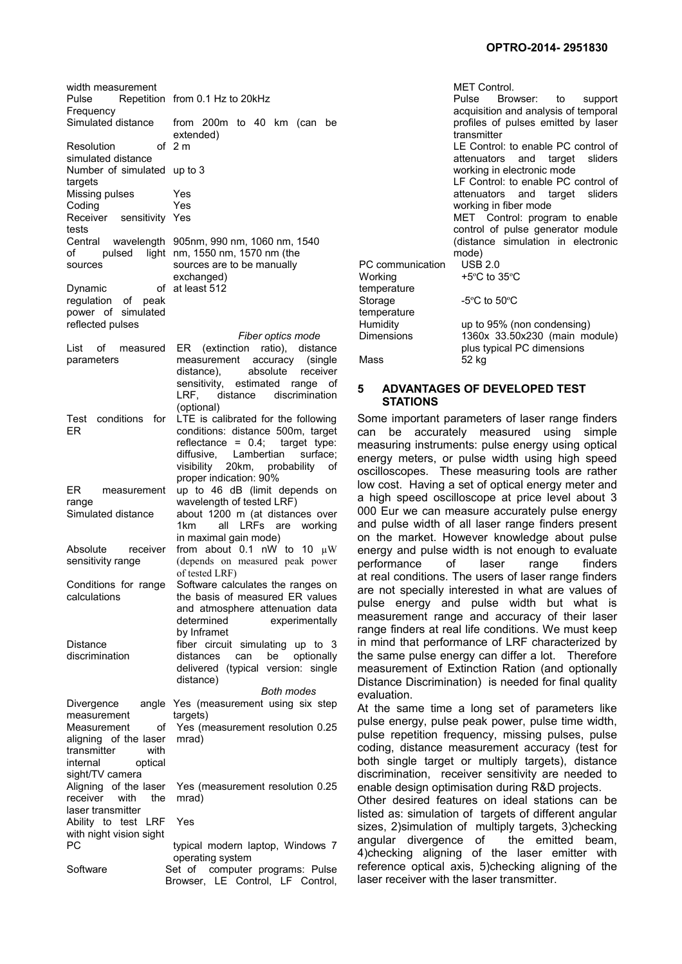| width measurement<br>Pulse                                                                                         | Repetition from 0.1 Hz to 20kHz                                                                                                                                                                                                                                     |
|--------------------------------------------------------------------------------------------------------------------|---------------------------------------------------------------------------------------------------------------------------------------------------------------------------------------------------------------------------------------------------------------------|
| Frequency<br>Simulated distance<br>Resolution                                                                      | from 200m to 40 km (can be<br>extended)<br>of 2 m                                                                                                                                                                                                                   |
| simulated distance<br>Number of simulated up to 3                                                                  |                                                                                                                                                                                                                                                                     |
| targets<br>Missing pulses<br>Coding<br>Receiver sensitivity Yes<br>tests                                           | Yes<br>Yes                                                                                                                                                                                                                                                          |
| of<br>sources                                                                                                      | Central wavelength 905nm, 990 nm, 1060 nm, 1540<br>pulsed light nm, 1550 nm, 1570 nm (the<br>F<br>sources are to be manually<br>V<br>exchanged)                                                                                                                     |
| Dynamic<br>regulation of<br>peak<br>power of simulated<br>reflected pulses                                         | of at least 512<br>t<br>Ś<br>t<br>ŀ                                                                                                                                                                                                                                 |
| List<br>of measured<br>parameters                                                                                  | Г<br>Fiber optics mode<br>ER (extinction ratio), distance<br>measurement accuracy (single<br>Ν<br>absolute<br>receiver<br>distance),<br>sensitivity, estimated range<br>οf<br>5                                                                                     |
| Test<br>conditions<br>for<br>ER                                                                                    | LRF.<br>distance discrimination<br>(optional)<br>S<br>LTE is calibrated for the following<br>conditions: distance 500m, target<br>с<br>reflectance = $0.4$ ; target type:<br>n<br>diffusive, Lambertian<br>surface;<br>e<br>visibility 20km, probability<br>οf<br>O |
| ER measurement<br>range<br>Simulated distance                                                                      | proper indication: 90%<br>Ιc<br>up to 46 dB (limit depends on<br>а<br>wavelength of tested LRF)<br>0<br>about 1200 m (at distances over<br>all LRFs are working<br>а<br>1 <sub>km</sub>                                                                             |
| Absolute<br>receiver<br>sensitivity range                                                                          | in maximal gain mode)<br>О<br>from about 0.1 nW to 10 $\mu$ W<br>e<br>(depends on measured peak power<br>p<br>of tested LRF)                                                                                                                                        |
| Conditions for range<br>calculations                                                                               | a<br>Software calculates the ranges on<br>a<br>the basis of measured ER values<br>р<br>and atmosphere attenuation data<br>n<br>determined<br>experimentally<br>r<br>by Inframet                                                                                     |
| Distance<br>discrimination                                                                                         | İľ<br>fiber circuit simulating<br>up to $3$<br>tł<br>distances<br>be<br>optionally<br>can<br>(typical version: single<br>delivered<br>n<br>distance)<br>Е<br><b>Both modes</b>                                                                                      |
| Divergence<br>measurement<br>Measurement<br>of<br>aligning of the laser<br>with<br>transmitter                     | e<br>angle Yes (measurement using six step<br>A<br>targets)<br>р<br>Yes (measurement resolution 0.25)<br>р<br>mrad)<br>C                                                                                                                                            |
| internal<br>optical<br>sight/TV camera<br>Aligning<br>of the laser<br>receiver<br>with<br>the<br>laser transmitter | b<br>d<br>Yes (measurement resolution 0.25)<br>e<br>mrad)<br>C<br>li                                                                                                                                                                                                |
| Ability to test LRF<br>with night vision sight<br>PС                                                               | Yes<br>S<br>а<br>typical modern laptop, Windows 7                                                                                                                                                                                                                   |
| Software                                                                                                           | 4<br>operating system<br>r١<br>Set of computer programs: Pulse<br>Ιć                                                                                                                                                                                                |
|                                                                                                                    | Browser, LE Control, LF Control,                                                                                                                                                                                                                                    |

MET Control. Pulse Browser: to support acquisition and analysis of temporal profiles of pulses emitted by laser transmitter LE Control: to enable PC control of attenuators and target sliders working in electronic mode LF Control: to enable PC control of attenuators and target sliders working in fiber mode MET Control: program to enable control of pulse generator module (distance simulation in electronic mode) PC communication USB 2.0 Working emperature +5ºC to 35ºC Storage emperature -5ºC to 50ºC Humidity up to 95% (non condensing) 1360x 33.50x230 (main module) plus typical PC dimensions Mass 52 kg

#### **5 ADVANTAGES OF DEVELOPED TEST STATIONS**

Some important parameters of laser range finders an be accurately measured using simple measuring instruments: pulse energy using optical energy meters, or pulse width using high speed scilloscopes. These measuring tools are rather ow cost. Having a set of optical energy meter and high speed oscilloscope at price level about 3 000 Eur we can measure accurately pulse energy and pulse width of all laser range finders present on the market. However knowledge about pulse energy and pulse width is not enough to evaluate performance of laser range finders t real conditions. The users of laser range finders are not specially interested in what are values of pulse energy and pulse width but what is measurement range and accuracy of their laser ange finders at real life conditions. We must keep n mind that performance of LRF characterized by he same pulse energy can differ a lot. Therefore measurement of Extinction Ration (and optionally Distance Discrimination) is needed for final quality valuation.

At the same time a long set of parameters like pulse energy, pulse peak power, pulse time width, pulse repetition frequency, missing pulses, pulse coding, distance measurement accuracy (test for both single target or multiply targets), distance liscrimination, receiver sensitivity are needed to nable design optimisation during R&D projects.

Other desired features on ideal stations can be listed as: simulation of targets of different angular sizes, 2)simulation of multiply targets, 3)checking<br>angular divergence of the emitted beam, ingular divergence of 4)checking aligning of the laser emitter with eference optical axis, 5)checking aligning of the laser receiver with the laser transmitter.